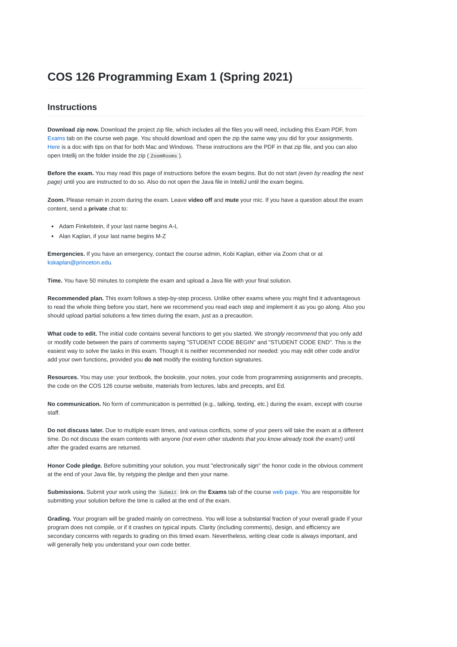# **COS 126 Programming Exam 1 (Spring 2021)**

## **Instructions**

**Download zip now.** Download the project zip file, which includes all the files you will need, including this Exam PDF, from [Exams](https://www.cs.princeton.edu/courses/archive/spring21/cos126/exams.html) tab on the course web page. You should download and open the zip the same way you did for your assignments. [Here](https://docs.google.com/document/d/1RDbkqYjLZzQsURj46GFceHQmrqnDnaIyupMBQTSeto0/) is a doc with tips on that for both Mac and Windows. These instructions are the PDF in that zip file, and you can also open Intellij on the folder inside the zip ( ZoomRooms ).

**Before the exam.** You may read this page of instructions before the exam begins. But do not start *(even by reading the next page)* until you are instructed to do so. Also do not open the Java file in IntelliJ until the exam begins.

**Zoom.** Please remain in zoom during the exam. Leave **video off** and **mute** your mic. If you have a question about the exam content, send a **private** chat to:

- Adam Finkelstein, if your last name begins A-L
- Alan Kaplan, if your last name begins M-Z

**Emergencies.** If you have an emergency, contact the course admin, Kobi Kaplan, either via Zoom chat or at [kskaplan@princeton.edu](mailto:kskaplan@princeton.edu).

**Time.** You have 50 minutes to complete the exam and upload a Java file with your final solution.

**Recommended plan.** This exam follows a step-by-step process. Unlike other exams where you might find it advantageous to read the whole thing before you start, here we recommend you read each step and implement it as you go along. Also you should upload partial solutions a few times during the exam, just as a precaution.

**What code to edit.** The initial code contains several functions to get you started. We *strongly recommend* that you only add or modify code between the pairs of comments saying "STUDENT CODE BEGIN" and "STUDENT CODE END". This is the easiest way to solve the tasks in this exam. Though it is neither recommended nor needed: you may edit other code and/or add your own functions, provided you **do not** modify the existing function signatures.

**Resources.** You may use: your textbook, the booksite, your notes, your code from programming assignments and precepts, the code on the COS 126 course website, materials from lectures, labs and precepts, and Ed.

**No communication.** No form of communication is permitted (e.g., talking, texting, etc.) during the exam, except with course staff.

**Do not discuss later.** Due to multiple exam times, and various conflicts, some of your peers will take the exam at a different time. Do not discuss the exam contents with anyone *(not even other students that you know already took the exam!)* until after the graded exams are returned.

**Honor Code pledge.** Before submitting your solution, you must "electronically sign" the honor code in the obvious comment at the end of your Java file, by retyping the pledge and then your name.

**Submissions.** Submit your work using the Submit link on the **Exams** tab of the course [web page.](https://www.cs.princeton.edu/courses/archive/spring21/cos126/exams.html) You are responsible for submitting your solution before the time is called at the end of the exam.

**Grading.** Your program will be graded mainly on correctness. You will lose a substantial fraction of your overall grade if your program does not compile, or if it crashes on typical inputs. Clarity (including comments), design, and efficiency are secondary concerns with regards to grading on this timed exam. Nevertheless, writing clear code is always important, and will generally help you understand your own code better.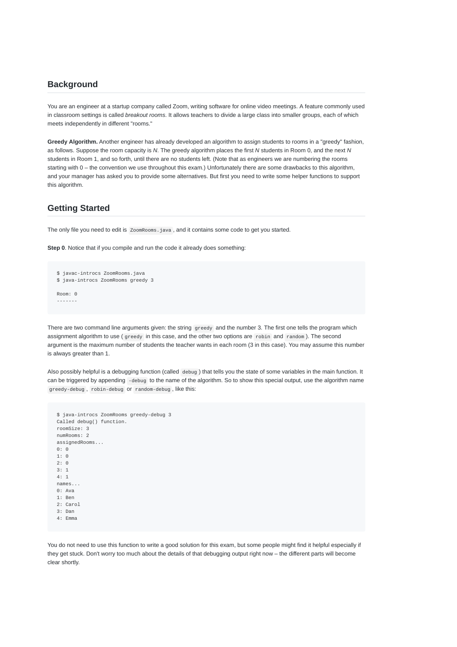#### **Background**

You are an engineer at a startup company called Zoom, writing software for online video meetings. A feature commonly used in classroom settings is called *breakout rooms*. It allows teachers to divide a large class into smaller groups, each of which meets independently in different "rooms."

**Greedy Algorithm.** Another engineer has already developed an algorithm to assign students to rooms in a "greedy" fashion, as follows. Suppose the room capacity is *N*. The greedy algorithm places the first *N* students in Room 0, and the next *N* students in Room 1, and so forth, until there are no students left. (Note that as engineers we are numbering the rooms starting with 0 – the convention we use throughout this exam.) Unfortunately there are some drawbacks to this algorithm, and your manager has asked you to provide some alternatives. But first you need to write some helper functions to support this algorithm.

# **Getting Started**

The only file you need to edit is zoomRooms. java, and it contains some code to get you started.

**Step 0**. Notice that if you compile and run the code it already does something:

```
$ javac-introcs ZoomRooms.java
$ java-introcs ZoomRooms greedy 3
Room: 0
-------
```
There are two command line arguments given: the string greedy and the number 3. The first one tells the program which assignment algorithm to use ( greedy in this case, and the other two options are robin and random ). The second argument is the maximum number of students the teacher wants in each room (3 in this case). You may assume this number is always greater than 1.

Also possibly helpful is a debugging function (called debug ) that tells you the state of some variables in the main function. It can be triggered by appending -debug to the name of the algorithm. So to show this special output, use the algorithm name greedy-debug , robin-debug or random-debug , like this:

```
$ java-introcs ZoomRooms greedy-debug 3
Called debug() function.
roomSize: 3
numRooms: 2
assignedRooms...
0: 0
1: 0
2: 0
3: 1
4: 1
names...
0: Ava
1: Ben
2: Carol
3: Dan
4: Emma
```
You do not need to use this function to write a good solution for this exam, but some people might find it helpful especially if they get stuck. Don't worry too much about the details of that debugging output right now – the different parts will become clear shortly.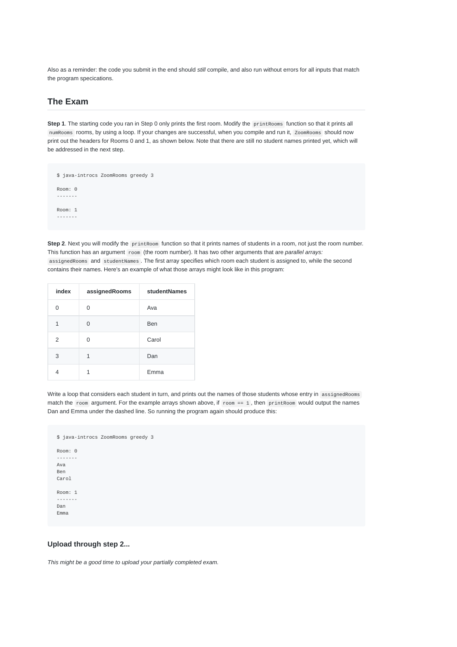Also as a reminder: the code you submit in the end should *still* compile, and also run without errors for all inputs that match the program specications.

## **The Exam**

**Step 1**. The starting code you ran in Step 0 only prints the first room. Modify the printRooms function so that it prints all numRooms rooms, by using a loop. If your changes are successful, when you compile and run it, ZoomRooms should now print out the headers for Rooms 0 and 1, as shown below. Note that there are still no student names printed yet, which will be addressed in the next step.

```
$ java-introcs ZoomRooms greedy 3
Room: 0
-------
Room: 1
-------
```
Step 2. Next you will modify the printRoom function so that it prints names of students in a room, not just the room number. This function has an argument room (the room number). It has two other arguments that are *parallel arrays:* assignedRooms and studentNames . The first array specifies which room each student is assigned to, while the second contains their names. Here's an example of what those arrays might look like in this program:

| index | assignedRooms | studentNames |
|-------|---------------|--------------|
| ი     | O             | Ava          |
| 1     | O             | <b>Ben</b>   |
| 2     | O             | Carol        |
| 3     | 1             | Dan          |
|       | 1             | Emma         |

Write a loop that considers each student in turn, and prints out the names of those students whose entry in assignedRooms match the room argument. For the example arrays shown above, if room == 1 , then printRoom would output the names Dan and Emma under the dashed line. So running the program again should produce this:

```
$ java-introcs ZoomRooms greedy 3
Room: 0
-------
Ava
Ben
Carol
Room: 1
-------
Dan
Emma
```
# **Upload through step 2...**

*This might be a good time to upload your partially completed exam.*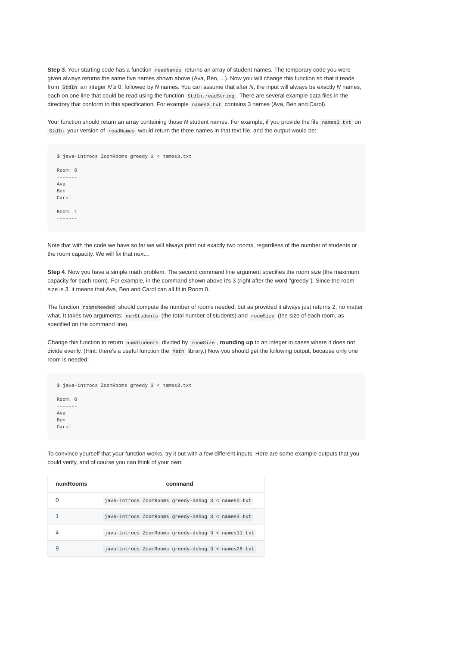Step 3. Your starting code has a function readNames returns an array of student names. The temporary code you were given always returns the same five names shown above (Ava, Ben, ...). Now you will change this function so that it reads from StdIn an integer *N* ≥ 0, followed by *N* names. You can assume that after *N*, the input will always be exactly *N* names, each on one line that could be read using the function stdIn.readString. There are several example data files in the directory that conform to this specification. For example names3.txt contains 3 names (Ava, Ben and Carol).

Your function should return an array containing those *N* student names. For example, if you provide the file names3.txt on StdIn your version of readNames would return the three names in that text file, and the output would be:

\$ java-introcs ZoomRooms greedy 3 < names3.txt Room: 0 ------- Ava Ben Carol Room: 1 -------

Note that with the code we have so far we will always print out exactly two rooms, regardless of the number of students or the room capacity. We will fix that next...

**Step 4**. Now you have a simple math problem. The second command line argument specifies the room size (the maximum capacity for each room). For example, in the command shown above it's 3 (right after the word "greedy"). Since the room size is 3, it means that Ava, Ben and Carol can all fit in Room 0.

The function roomsNeeded should compute the number of rooms needed; but as provided it always just returns 2, no matter what. It takes two arguments: numStudents (the total number of students) and roomSize (the size of each room, as specified on the command line).

Change this function to return numStudents divided by roomSize , **rounding up** to an integer in cases where it does not divide evenly. (Hint: there's a useful function the Math library.) Now you should get the following output, because only one room is needed:

```
$ java-introcs ZoomRooms greedy 3 < names3.txt
Room: 0
-------
Ava
Ben
Carol
```
To convince yourself that your function works, try it out with a few different inputs. Here are some example outputs that you could verify, and of course you can think of your own:

| numRooms | command                                             |  |
|----------|-----------------------------------------------------|--|
|          | java-introcs ZoomRooms greedy-debug 3 < names0.txt  |  |
|          | java-introcs ZoomRooms greedy-debug 3 < names3.txt  |  |
|          | java-introcs ZoomRooms greedy-debug 3 < names11.txt |  |
| 9        | java-introcs ZoomRooms greedy-debug 3 < names26.txt |  |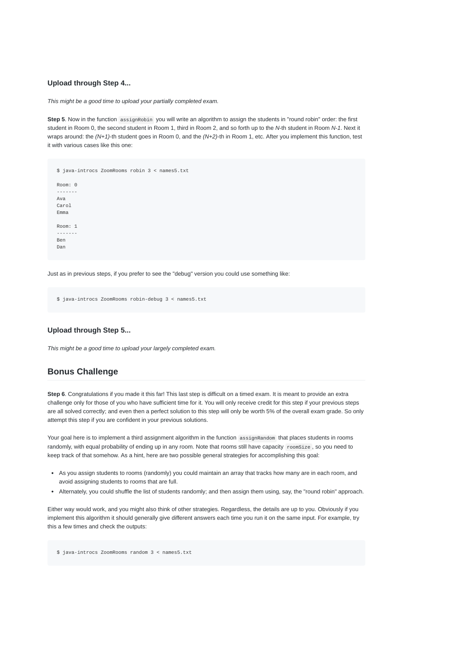#### **Upload through Step 4...**

*This might be a good time to upload your partially completed exam.*

**Step 5**. Now in the function assignRobin you will write an algorithm to assign the students in "round robin" order: the first student in Room 0, the second student in Room 1, third in Room 2, and so forth up to the *N*-th student in Room *N-1*. Next it wraps around: the *(N+1)*-th student goes in Room 0, and the *(N+2)*-th in Room 1, etc. After you implement this function, test it with various cases like this one:

Room: 0 ------- Ava Carol Emma Room: 1

\$ java-introcs ZoomRooms robin 3 < names5.txt

Just as in previous steps, if you prefer to see the "debug" version you could use something like:

```
$ java-introcs ZoomRooms robin-debug 3 < names5.txt
```
#### **Upload through Step 5...**

------- Ben Dan

*This might be a good time to upload your largely completed exam.*

#### **Bonus Challenge**

**Step 6**. Congratulations if you made it this far! This last step is difficult on a timed exam. It is meant to provide an extra challenge only for those of you who have sufficient time for it. You will only receive credit for this step if your previous steps are all solved correctly; and even then a perfect solution to this step will only be worth 5% of the overall exam grade. So only attempt this step if you are confident in your previous solutions.

Your goal here is to implement a third assignment algorithm in the function assignRandom that places students in rooms randomly, with equal probability of ending up in any room. Note that rooms still have capacity roomSize, so you need to keep track of that somehow. As a hint, here are two possible general strategies for accomplishing this goal:

- As you assign students to rooms (randomly) you could maintain an array that tracks how many are in each room, and avoid assigning students to rooms that are full.
- Alternately, you could shuffle the list of students randomly; and then assign them using, say, the "round robin" approach.

Either way would work, and you might also think of other strategies. Regardless, the details are up to you. Obviously if you implement this algorithm it should generally give different answers each time you run it on the same input. For example, try this a few times and check the outputs:

\$ java-introcs ZoomRooms random 3 < names5.txt